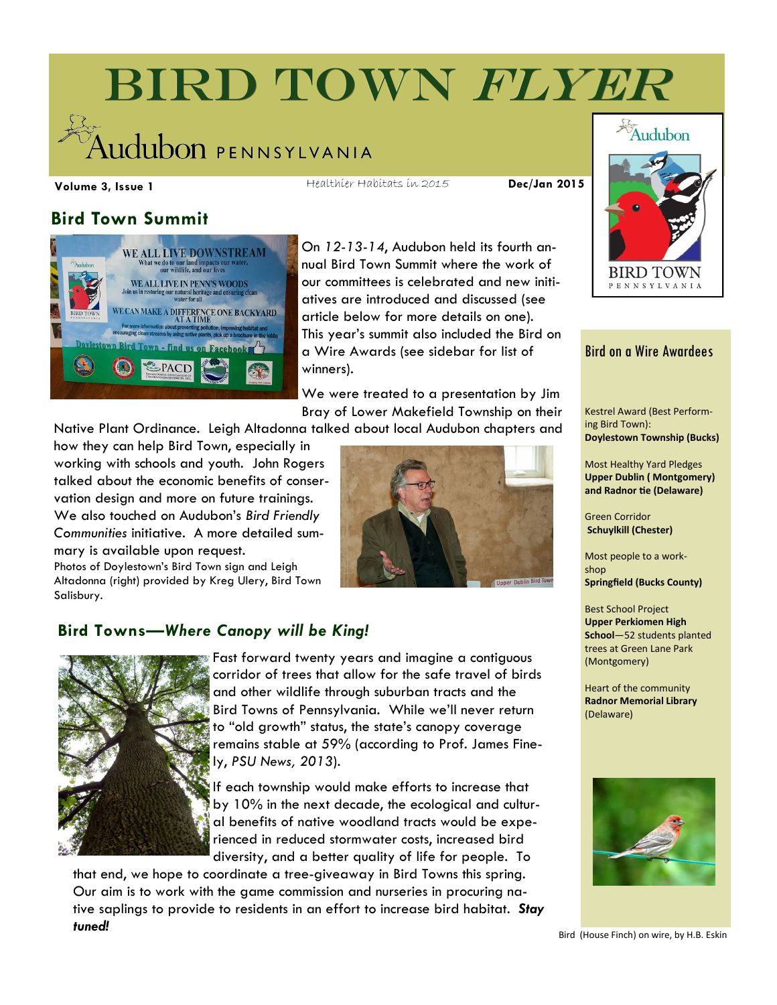# BIRD TOWN FLYER udubon pennsylvania

**Volume 3, Issue 1 Dec/Jan 2015** Healthier Habitats in 2015

## **Bird Town Summit**



On *12-13-14*, Audubon held its fourth annual Bird Town Summit where the work of our committees is celebrated and new initiatives are introduced and discussed (see article below for more details on one). This year's summit also included the Bird on a Wire Awards (see sidebar for list of winners).

We were treated to a presentation by Jim Bray of Lower Makefield Township on their

Native Plant Ordinance. Leigh Altadonna talked about local Audubon chapters and

how they can help Bird Town, especially in working with schools and youth. John Rogers talked about the economic benefits of conservation design and more on future trainings. We also touched on Audubon's *Bird Friendly Communities* initiative. A more detailed summary is available upon request.

Photos of Doylestown's Bird Town sign and Leigh Altadonna (right) provided by Kreg Ulery, Bird Town Salisbury.



#### **Bird Towns—***Where Canopy will be King!*



Fast forward twenty years and imagine a contiguous corridor of trees that allow for the safe travel of birds and other wildlife through suburban tracts and the Bird Towns of Pennsylvania. While we'll never return to "old growth" status, the state's canopy coverage remains stable at 59% (according to Prof. James Finely, *PSU News, 2013*).

If each township would make efforts to increase that by 10% in the next decade, the ecological and cultural benefits of native woodland tracts would be experienced in reduced stormwater costs, increased bird diversity, and a better quality of life for people. To

that end, we hope to coordinate a tree-giveaway in Bird Towns this spring. Our aim is to work with the game commission and nurseries in procuring native saplings to provide to residents in an effort to increase bird habitat. *Stay tuned!*



#### Bird on a Wire Awardees

Kestrel Award (Best Performing Bird Town): **Doylestown Township (Bucks)**

Most Healthy Yard Pledges **Upper Dublin ( Montgomery) and Radnor tie (Delaware)**

Green Corridor **Schuylkill (Chester)**

Most people to a workshop **Springfield (Bucks County)**

Best School Project **Upper Perkiomen High School**—52 students planted trees at Green Lane Park (Montgomery)

Heart of the community **Radnor Memorial Library**  (Delaware)